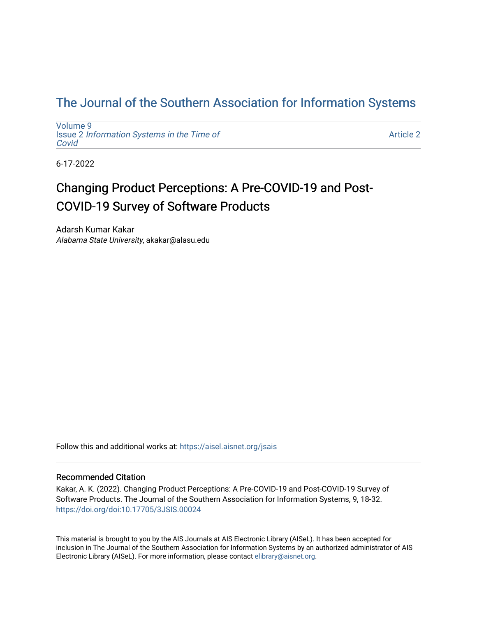# [The Journal of the Southern Association for Information Systems](https://aisel.aisnet.org/jsais)

[Volume 9](https://aisel.aisnet.org/jsais/vol9) Issue 2 [Information Systems in the Time of](https://aisel.aisnet.org/jsais/vol9/iss2)  [Covid](https://aisel.aisnet.org/jsais/vol9/iss2) 

[Article 2](https://aisel.aisnet.org/jsais/vol9/iss2/2) 

6-17-2022

# Changing Product Perceptions: A Pre-COVID-19 and Post-COVID-19 Survey of Software Products

Adarsh Kumar Kakar Alabama State University, akakar@alasu.edu

Follow this and additional works at: [https://aisel.aisnet.org/jsais](https://aisel.aisnet.org/jsais?utm_source=aisel.aisnet.org%2Fjsais%2Fvol9%2Fiss2%2F2&utm_medium=PDF&utm_campaign=PDFCoverPages) 

#### Recommended Citation

Kakar, A. K. (2022). Changing Product Perceptions: A Pre-COVID-19 and Post-COVID-19 Survey of Software Products. The Journal of the Southern Association for Information Systems, 9, 18-32. <https://doi.org/doi:10.17705/3JSIS.00024>

This material is brought to you by the AIS Journals at AIS Electronic Library (AISeL). It has been accepted for inclusion in The Journal of the Southern Association for Information Systems by an authorized administrator of AIS Electronic Library (AISeL). For more information, please contact [elibrary@aisnet.org.](mailto:elibrary@aisnet.org%3E)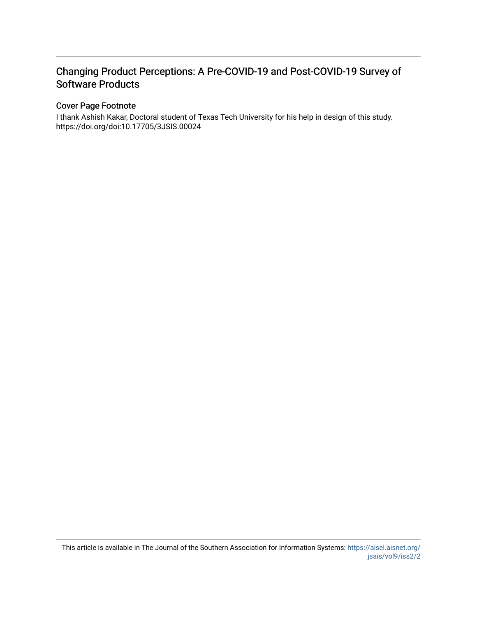# Changing Product Perceptions: A Pre-COVID-19 and Post-COVID-19 Survey of Software Products

## Cover Page Footnote

I thank Ashish Kakar, Doctoral student of Texas Tech University for his help in design of this study. https://doi.org/doi:10.17705/3JSIS.00024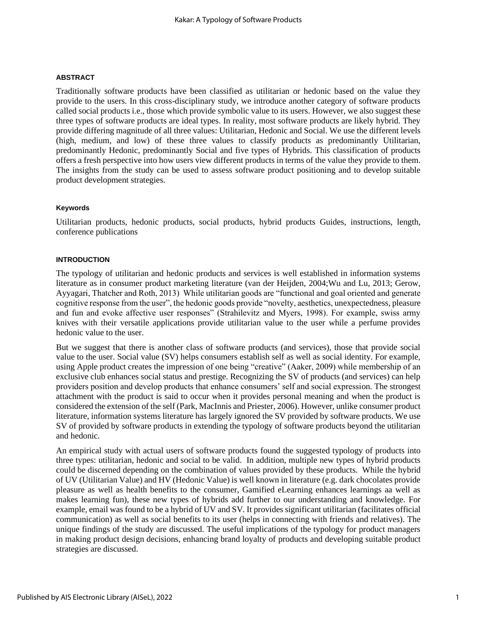#### **ABSTRACT**

Traditionally software products have been classified as utilitarian or hedonic based on the value they provide to the users. In this cross-disciplinary study, we introduce another category of software products called social products i.e., those which provide symbolic value to its users. However, we also suggest these three types of software products are ideal types. In reality, most software products are likely hybrid. They provide differing magnitude of all three values: Utilitarian, Hedonic and Social. We use the different levels (high, medium, and low) of these three values to classify products as predominantly Utilitarian, predominantly Hedonic, predominantly Social and five types of Hybrids. This classification of products offers a fresh perspective into how users view different products in terms of the value they provide to them. The insights from the study can be used to assess software product positioning and to develop suitable product development strategies.

#### **Keywords**

Utilitarian products, hedonic products, social products, hybrid products Guides, instructions, length, conference publications

#### **INTRODUCTION**

The typology of utilitarian and hedonic products and services is well established in information systems literature as in consumer product marketing literature (van der Heijden, 2004;Wu and Lu, 2013; Gerow, Ayyagari, Thatcher and Roth, 2013) While utilitarian goods are "functional and goal oriented and generate cognitive response from the user", the hedonic goods provide "novelty, aesthetics, unexpectedness, pleasure and fun and evoke affective user responses" (Strahilevitz and Myers, 1998). For example, swiss army knives with their versatile applications provide utilitarian value to the user while a perfume provides hedonic value to the user.

But we suggest that there is another class of software products (and services), those that provide social value to the user. Social value (SV) helps consumers establish self as well as social identity. For example, using Apple product creates the impression of one being "creative" (Aaker, 2009) while membership of an exclusive club enhances social status and prestige. Recognizing the SV of products (and services) can help providers position and develop products that enhance consumers' self and social expression. The strongest attachment with the product is said to occur when it provides personal meaning and when the product is considered the extension of the self (Park, MacInnis and Priester, 2006). However, unlike consumer product literature, information systems literature has largely ignored the SV provided by software products. We use SV of provided by software products in extending the typology of software products beyond the utilitarian and hedonic.

An empirical study with actual users of software products found the suggested typology of products into three types: utilitarian, hedonic and social to be valid. In addition, multiple new types of hybrid products could be discerned depending on the combination of values provided by these products. While the hybrid of UV (Utilitarian Value) and HV (Hedonic Value) is well known in literature (e.g. dark chocolates provide pleasure as well as health benefits to the consumer, Gamified eLearning enhances learnings aa well as makes learning fun), these new types of hybrids add further to our understanding and knowledge. For example, email was found to be a hybrid of UV and SV. It provides significant utilitarian (facilitates official communication) as well as social benefits to its user (helps in connecting with friends and relatives). The unique findings of the study are discussed. The useful implications of the typology for product managers in making product design decisions, enhancing brand loyalty of products and developing suitable product strategies are discussed.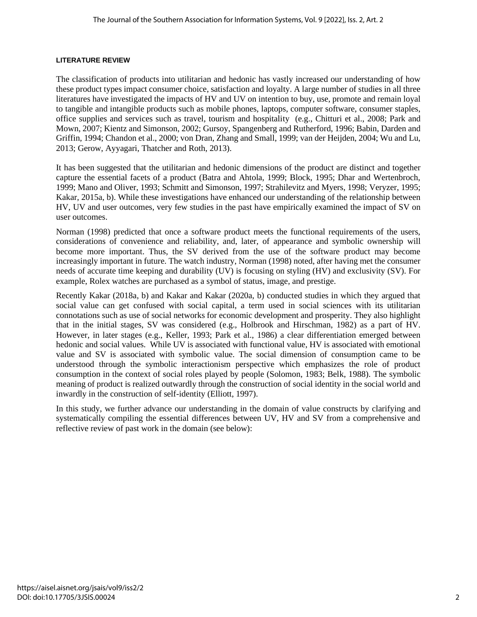#### **LITERATURE REVIEW**

The classification of products into utilitarian and hedonic has vastly increased our understanding of how these product types impact consumer choice, satisfaction and loyalty. A large number of studies in all three literatures have investigated the impacts of HV and UV on intention to buy, use, promote and remain loyal to tangible and intangible products such as mobile phones, laptops, computer software, consumer staples, office supplies and services such as travel, tourism and hospitality (e.g., Chitturi et al., 2008; Park and Mown, 2007; Kientz and Simonson, 2002; Gursoy, Spangenberg and Rutherford, 1996; Babin, Darden and Griffin, 1994; Chandon et al., 2000; von Dran, Zhang and Small, 1999; van der Heijden, 2004; Wu and Lu, 2013; Gerow, Ayyagari, Thatcher and Roth, 2013).

It has been suggested that the utilitarian and hedonic dimensions of the product are distinct and together capture the essential facets of a product (Batra and Ahtola, 1999; Block, 1995; Dhar and Wertenbroch, 1999; Mano and Oliver, 1993; Schmitt and Simonson, 1997; Strahilevitz and Myers, 1998; Veryzer, 1995; Kakar, 2015a, b). While these investigations have enhanced our understanding of the relationship between HV, UV and user outcomes, very few studies in the past have empirically examined the impact of SV on user outcomes.

Norman (1998) predicted that once a software product meets the functional requirements of the users, considerations of convenience and reliability, and, later, of appearance and symbolic ownership will become more important. Thus, the SV derived from the use of the software product may become increasingly important in future. The watch industry, Norman (1998) noted, after having met the consumer needs of accurate time keeping and durability (UV) is focusing on styling (HV) and exclusivity (SV). For example, Rolex watches are purchased as a symbol of status, image, and prestige.

Recently Kakar (2018a, b) and Kakar and Kakar (2020a, b) conducted studies in which they argued that social value can get confused with social capital, a term used in social sciences with its utilitarian connotations such as use of social networks for economic development and prosperity. They also highlight that in the initial stages, SV was considered (e.g., Holbrook and Hirschman, 1982) as a part of HV. However, in later stages (e.g., Keller, 1993; Park et al., 1986) a clear differentiation emerged between hedonic and social values. While UV is associated with functional value, HV is associated with emotional value and SV is associated with symbolic value. The social dimension of consumption came to be understood through the symbolic interactionism perspective which emphasizes the role of product consumption in the context of social roles played by people (Solomon, 1983; Belk, 1988). The symbolic meaning of product is realized outwardly through the construction of social identity in the social world and inwardly in the construction of self-identity (Elliott, 1997).

In this study, we further advance our understanding in the domain of value constructs by clarifying and systematically compiling the essential differences between UV, HV and SV from a comprehensive and reflective review of past work in the domain (see below):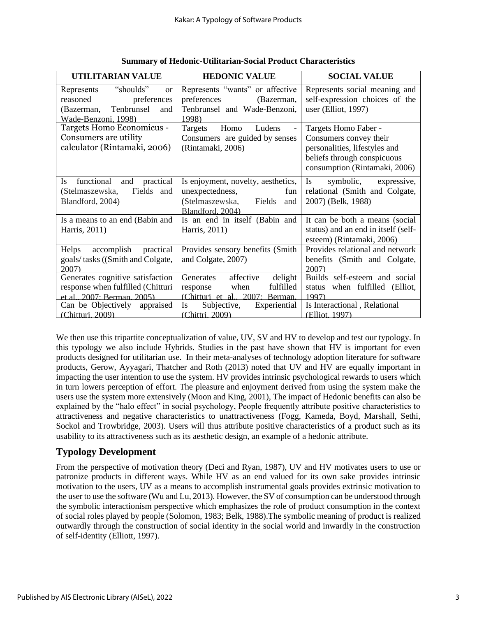| UTILITARIAN VALUE                                                                                                             | <b>HEDONIC VALUE</b>                                                                                              | <b>SOCIAL VALUE</b>                                                                                                                             |
|-------------------------------------------------------------------------------------------------------------------------------|-------------------------------------------------------------------------------------------------------------------|-------------------------------------------------------------------------------------------------------------------------------------------------|
| "shoulds"<br>Represents<br><sub>or</sub><br>reasoned<br>preferences<br>Tenbrunsel<br>(Bazerman,<br>and<br>Wade-Benzoni, 1998) | Represents "wants" or affective<br>preferences<br>(Bazerman,<br>Tenbrunsel and Wade-Benzoni,<br>1998)             | Represents social meaning and<br>self-expression choices of the<br>user (Elliot, 1997)                                                          |
| Targets Homo Economicus -<br>Consumers are utility<br>calculator (Rintamaki, 2006)                                            | Homo<br>Ludens<br>Targets<br>Consumers are guided by senses<br>(Rintamaki, 2006)                                  | Targets Homo Faber -<br>Consumers convey their<br>personalities, lifestyles and<br>beliefs through conspicuous<br>consumption (Rintamaki, 2006) |
| functional<br>Is<br>and<br>practical<br>(Stelmaszewska,<br>Fields<br>and<br>Blandford, 2004)                                  | Is enjoyment, novelty, aesthetics,<br>unexpectedness,<br>fun<br>(Stelmaszewska, Fields<br>and<br>Blandford, 2004) | <b>Is</b><br>symbolic,<br>expressive,<br>relational (Smith and Colgate,<br>2007) (Belk, 1988)                                                   |
| Is a means to an end (Babin and<br>Harris, 2011)                                                                              | Is an end in itself (Babin and<br>Harris, 2011)                                                                   | It can be both a means (social<br>status) and an end in itself (self-<br>esteem) (Rintamaki, 2006)                                              |
| Helps<br>accomplish<br>practical<br>goals/tasks ((Smith and Colgate,<br>2007                                                  | Provides sensory benefits (Smith)<br>and Colgate, 2007)                                                           | Provides relational and network<br>benefits (Smith and Colgate,<br>2007                                                                         |
| Generates cognitive satisfaction<br>response when fulfilled (Chitturi<br>et al., 2007: Berman, 2005)                          | Generates<br>affective<br>delight<br>fulfilled<br>when<br>response<br>(Chitturi et al., 2007: Berman,             | Builds self-esteem and social<br>when fulfilled<br>(Elliot,<br>status<br>1997)                                                                  |
| Can be Objectively<br>appraised<br>(Chitturi, 2009)                                                                           | Subjective,<br>Experiential<br><b>Is</b><br>(Chittri, 2009)                                                       | Is Interactional, Relational<br>(Elliot. 1997)                                                                                                  |

**Summary of Hedonic-Utilitarian-Social Product Characteristics**

We then use this tripartite conceptualization of value, UV, SV and HV to develop and test our typology. In this typology we also include Hybrids. Studies in the past have shown that HV is important for even products designed for utilitarian use. In their meta-analyses of technology adoption literature for software products, Gerow, Ayyagari, Thatcher and Roth (2013) noted that UV and HV are equally important in impacting the user intention to use the system. HV provides intrinsic psychological rewards to users which in turn lowers perception of effort. The pleasure and enjoyment derived from using the system make the users use the system more extensively (Moon and King, 2001), The impact of Hedonic benefits can also be explained by the "halo effect" in social psychology, People frequently attribute positive characteristics to attractiveness and negative characteristics to unattractiveness (Fogg, Kameda, Boyd, Marshall, Sethi, Sockol and Trowbridge, 2003). Users will thus attribute positive characteristics of a product such as its usability to its attractiveness such as its aesthetic design, an example of a hedonic attribute.

# **Typology Development**

From the perspective of motivation theory (Deci and Ryan, 1987), UV and HV motivates users to use or patronize products in different ways. While HV as an end valued for its own sake provides intrinsic motivation to the users, UV as a means to accomplish instrumental goals provides extrinsic motivation to the user to use the software (Wu and Lu, 2013). However, the SV of consumption can be understood through the symbolic interactionism perspective which emphasizes the role of product consumption in the context of social roles played by people (Solomon, 1983; Belk, 1988).The symbolic meaning of product is realized outwardly through the construction of social identity in the social world and inwardly in the construction of self-identity (Elliott, 1997).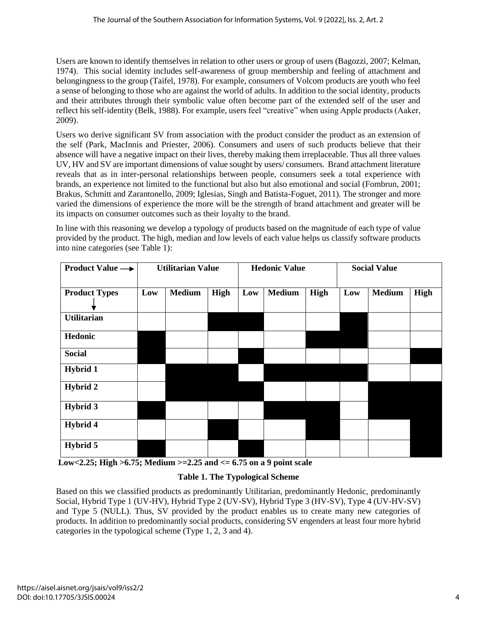Users are known to identify themselves in relation to other users or group of users (Bagozzi, 2007; Kelman, 1974). This social identity includes self-awareness of group membership and feeling of attachment and belongingness to the group (Taifel, 1978). For example, consumers of Volcom products are youth who feel a sense of belonging to those who are against the world of adults. In addition to the social identity, products and their attributes through their symbolic value often become part of the extended self of the user and reflect his self-identity (Belk, 1988). For example, users feel "creative" when using Apple products (Aaker, 2009).

Users wo derive significant SV from association with the product consider the product as an extension of the self (Park, MacInnis and Priester, 2006). Consumers and users of such products believe that their absence will have a negative impact on their lives, thereby making them irreplaceable. Thus all three values UV, HV and SV are important dimensions of value sought by users/ consumers. Brand attachment literature reveals that as in inter-personal relationships between people, consumers seek a total experience with brands, an experience not limited to the functional but also but also emotional and social (Fombrun, 2001; Brakus, Schmitt and Zarantonello, 2009; Iglesias, Singh and Batista-Foguet, 2011). The stronger and more varied the dimensions of experience the more will be the strength of brand attachment and greater will be its impacts on consumer outcomes such as their loyalty to the brand.

In line with this reasoning we develop a typology of products based on the magnitude of each type of value provided by the product. The high, median and low levels of each value helps us classify software products into nine categories (see Table 1):

| <b>Product Value</b> $\rightarrow$ |     | <b>Utilitarian Value</b> |      | <b>Hedonic Value</b> |               |      | <b>Social Value</b> |               |             |
|------------------------------------|-----|--------------------------|------|----------------------|---------------|------|---------------------|---------------|-------------|
| <b>Product Types</b>               | Low | <b>Medium</b>            | High | Low                  | <b>Medium</b> | High | Low                 | <b>Medium</b> | <b>High</b> |
| <b>Utilitarian</b>                 |     |                          |      |                      |               |      |                     |               |             |
| Hedonic                            |     |                          |      |                      |               |      |                     |               |             |
| <b>Social</b>                      |     |                          |      |                      |               |      |                     |               |             |
| <b>Hybrid 1</b>                    |     |                          |      |                      |               |      |                     |               |             |
| <b>Hybrid 2</b>                    |     |                          |      |                      |               |      |                     |               |             |
| <b>Hybrid 3</b>                    |     |                          |      |                      |               |      |                     |               |             |
| Hybrid 4                           |     |                          |      |                      |               |      |                     |               |             |
| Hybrid 5                           |     |                          |      |                      |               |      |                     |               |             |

**Low<2.25; High >6.75; Medium >=2.25 and <= 6.75 on a 9 point scale** 

## **Table 1. The Typological Scheme**

Based on this we classified products as predominantly Utilitarian, predominantly Hedonic, predominantly Social, Hybrid Type 1 (UV-HV), Hybrid Type 2 (UV-SV), Hybrid Type 3 (HV-SV), Type 4 (UV-HV-SV) and Type 5 (NULL). Thus, SV provided by the product enables us to create many new categories of products. In addition to predominantly social products, considering SV engenders at least four more hybrid categories in the typological scheme (Type 1, 2, 3 and 4).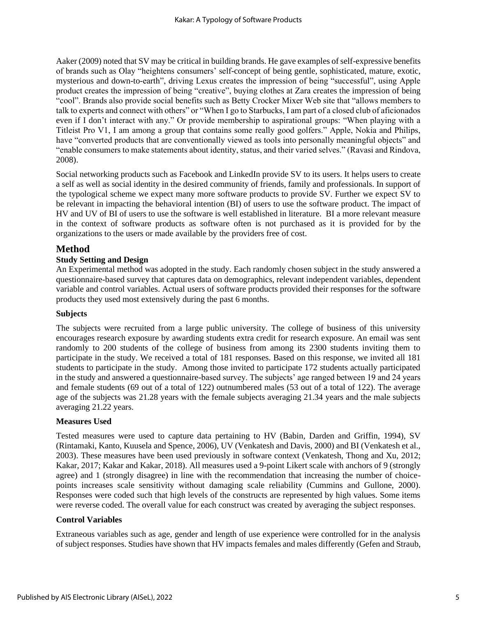Aaker (2009) noted that SV may be critical in building brands. He gave examples of self-expressive benefits of brands such as Olay "heightens consumers' self-concept of being gentle, sophisticated, mature, exotic, mysterious and down-to-earth", driving Lexus creates the impression of being "successful", using Apple product creates the impression of being "creative", buying clothes at Zara creates the impression of being "cool". Brands also provide social benefits such as Betty Crocker Mixer Web site that "allows members to talk to experts and connect with others" or "When I go to Starbucks, I am part of a closed club of aficionados even if I don't interact with any." Or provide membership to aspirational groups: "When playing with a Titleist Pro V1, I am among a group that contains some really good golfers." Apple, Nokia and Philips, have "converted products that are conventionally viewed as tools into personally meaningful objects" and "enable consumers to make statements about identity, status, and their varied selves." (Ravasi and Rindova, 2008).

Social networking products such as Facebook and LinkedIn provide SV to its users. It helps users to create a self as well as social identity in the desired community of friends, family and professionals. In support of the typological scheme we expect many more software products to provide SV. Further we expect SV to be relevant in impacting the behavioral intention (BI) of users to use the software product. The impact of HV and UV of BI of users to use the software is well established in literature. BI a more relevant measure in the context of software products as software often is not purchased as it is provided for by the organizations to the users or made available by the providers free of cost.

## **Method**

## **Study Setting and Design**

An Experimental method was adopted in the study. Each randomly chosen subject in the study answered a questionnaire-based survey that captures data on demographics, relevant independent variables, dependent variable and control variables. Actual users of software products provided their responses for the software products they used most extensively during the past 6 months.

### **Subjects**

The subjects were recruited from a large public university. The college of business of this university encourages research exposure by awarding students extra credit for research exposure. An email was sent randomly to 200 students of the college of business from among its 2300 students inviting them to participate in the study. We received a total of 181 responses. Based on this response, we invited all 181 students to participate in the study. Among those invited to participate 172 students actually participated in the study and answered a questionnaire-based survey. The subjects' age ranged between 19 and 24 years and female students (69 out of a total of 122) outnumbered males (53 out of a total of 122). The average age of the subjects was 21.28 years with the female subjects averaging 21.34 years and the male subjects averaging 21.22 years.

### **Measures Used**

Tested measures were used to capture data pertaining to HV (Babin, Darden and Griffin, 1994), SV (Rintamaki, Kanto, Kuusela and Spence, 2006), UV (Venkatesh and Davis, 2000) and BI (Venkatesh et al., 2003). These measures have been used previously in software context (Venkatesh, Thong and Xu, 2012; Kakar, 2017; Kakar and Kakar, 2018). All measures used a 9-point Likert scale with anchors of 9 (strongly agree) and 1 (strongly disagree) in line with the recommendation that increasing the number of choicepoints increases scale sensitivity without damaging scale reliability (Cummins and Gullone, 2000). Responses were coded such that high levels of the constructs are represented by high values. Some items were reverse coded. The overall value for each construct was created by averaging the subject responses.

### **Control Variables**

Extraneous variables such as age, gender and length of use experience were controlled for in the analysis of subject responses. Studies have shown that HV impacts females and males differently (Gefen and Straub,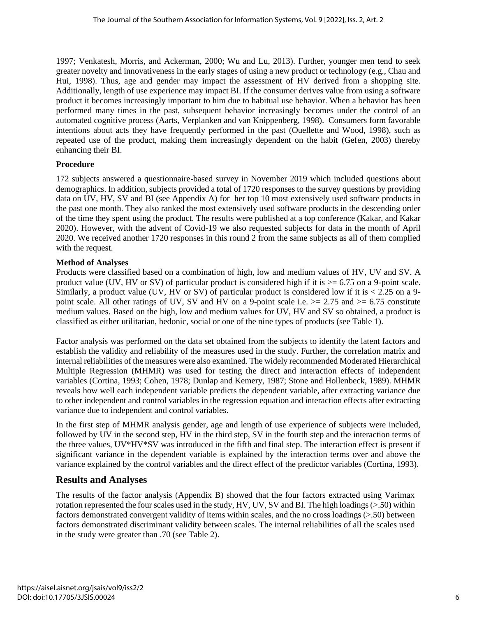1997; Venkatesh, Morris, and Ackerman, 2000; Wu and Lu, 2013). Further, younger men tend to seek greater novelty and innovativeness in the early stages of using a new product or technology (e.g., Chau and Hui, 1998). Thus, age and gender may impact the assessment of HV derived from a shopping site. Additionally, length of use experience may impact BI. If the consumer derives value from using a software product it becomes increasingly important to him due to habitual use behavior. When a behavior has been performed many times in the past, subsequent behavior increasingly becomes under the control of an automated cognitive process (Aarts, Verplanken and van Knippenberg, 1998). Consumers form favorable intentions about acts they have frequently performed in the past (Ouellette and Wood, 1998), such as repeated use of the product, making them increasingly dependent on the habit (Gefen, 2003) thereby enhancing their BI.

#### **Procedure**

172 subjects answered a questionnaire-based survey in November 2019 which included questions about demographics. In addition, subjects provided a total of 1720 responses to the survey questions by providing data on UV, HV, SV and BI (see Appendix A) for her top 10 most extensively used software products in the past one month. They also ranked the most extensively used software products in the descending order of the time they spent using the product. The results were published at a top conference (Kakar, and Kakar 2020). However, with the advent of Covid-19 we also requested subjects for data in the month of April 2020. We received another 1720 responses in this round 2 from the same subjects as all of them complied with the request.

#### **Method of Analyses**

Products were classified based on a combination of high, low and medium values of HV, UV and SV. A product value (UV, HV or SV) of particular product is considered high if it is  $> = 6.75$  on a 9-point scale. Similarly, a product value (UV, HV or SV) of particular product is considered low if it is  $\lt 2.25$  on a 9point scale. All other ratings of UV, SV and HV on a 9-point scale i.e.  $> = 2.75$  and  $> = 6.75$  constitute medium values. Based on the high, low and medium values for UV, HV and SV so obtained, a product is classified as either utilitarian, hedonic, social or one of the nine types of products (see Table 1).

Factor analysis was performed on the data set obtained from the subjects to identify the latent factors and establish the validity and reliability of the measures used in the study. Further, the correlation matrix and internal reliabilities of the measures were also examined. The widely recommended Moderated Hierarchical Multiple Regression (MHMR) was used for testing the direct and interaction effects of independent variables (Cortina, 1993; Cohen, 1978; Dunlap and Kemery, 1987; Stone and Hollenbeck, 1989). MHMR reveals how well each independent variable predicts the dependent variable, after extracting variance due to other independent and control variables in the regression equation and interaction effects after extracting variance due to independent and control variables.

In the first step of MHMR analysis gender, age and length of use experience of subjects were included, followed by UV in the second step, HV in the third step, SV in the fourth step and the interaction terms of the three values, UV\*HV\*SV was introduced in the fifth and final step. The interaction effect is present if significant variance in the dependent variable is explained by the interaction terms over and above the variance explained by the control variables and the direct effect of the predictor variables (Cortina, 1993).

## **Results and Analyses**

The results of the factor analysis (Appendix B) showed that the four factors extracted using Varimax rotation represented the four scales used in the study, HV, UV, SV and BI. The high loadings (>.50) within factors demonstrated convergent validity of items within scales, and the no cross loadings (>.50) between factors demonstrated discriminant validity between scales. The internal reliabilities of all the scales used in the study were greater than .70 (see Table 2).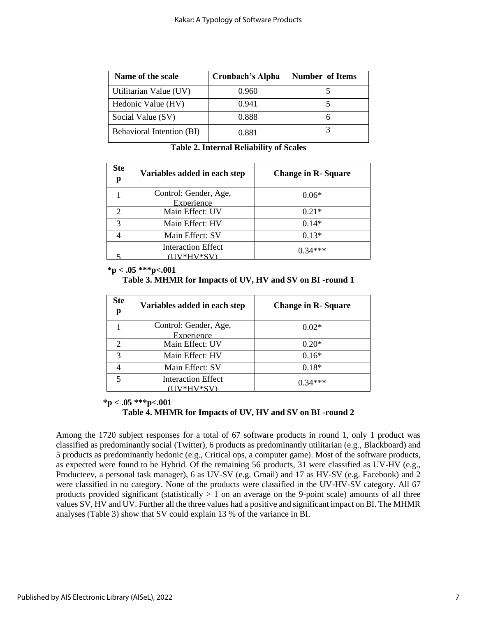| Name of the scale         | <b>Cronbach's Alpha</b> | <b>Number of Items</b> |
|---------------------------|-------------------------|------------------------|
| Utilitarian Value (UV)    | 0.960                   |                        |
| Hedonic Value (HV)        | 0.941                   |                        |
| Social Value (SV)         | 0.888                   |                        |
| Behavioral Intention (BI) | 0.881                   |                        |

**Table 2. Internal Reliability of Scales**

| <b>Ste</b><br>p       | Variables added in each step          | <b>Change in R-Square</b> |
|-----------------------|---------------------------------------|---------------------------|
|                       | Control: Gender, Age,<br>Experience   | $0.06*$                   |
| $\mathcal{D}_{\cdot}$ | Main Effect: UV                       | $0.21*$                   |
| 3                     | Main Effect: HV                       | $0.14*$                   |
|                       | Main Effect: SV                       | $0.13*$                   |
|                       | <b>Interaction Effect</b><br>7*HV*SV) | $1.34***$                 |

#### **\*p < .05 \*\*\*p<.001**

**Table 3. MHMR for Impacts of UV, HV and SV on BI -round 1**

| <b>Ste</b><br>р             | Variables added in each step          | <b>Change in R-Square</b> |
|-----------------------------|---------------------------------------|---------------------------|
|                             | Control: Gender, Age,<br>Experience   | $0.02*$                   |
| $\mathcal{D}_{\mathcal{A}}$ | Main Effect: UV                       | $0.20*$                   |
| 3                           | Main Effect: HV                       | $0.16*$                   |
|                             | Main Effect: SV                       | $0.18*$                   |
|                             | <b>Interaction Effect</b><br>V*HV*SV) | $1.34***$                 |

### **\*p < .05 \*\*\*p<.001 Table 4. MHMR for Impacts of UV, HV and SV on BI -round 2**

Among the 1720 subject responses for a total of 67 software products in round 1, only 1 product was classified as predominantly social (Twitter), 6 products as predominantly utilitarian (e.g., Blackboard) and 5 products as predominantly hedonic (e.g., Critical ops, a computer game). Most of the software products, as expected were found to be Hybrid. Of the remaining 56 products, 31 were classified as UV-HV (e.g., Producteev, a personal task manager), 6 as UV-SV (e.g. Gmail) and 17 as HV-SV (e.g. Facebook) and 2 were classified in no category. None of the products were classified in the UV-HV-SV category. All 67 products provided significant (statistically  $> 1$  on an average on the 9-point scale) amounts of all three values SV, HV and UV. Further all the three values had a positive and significant impact on BI. The MHMR analyses (Table 3) show that SV could explain 13 % of the variance in BI.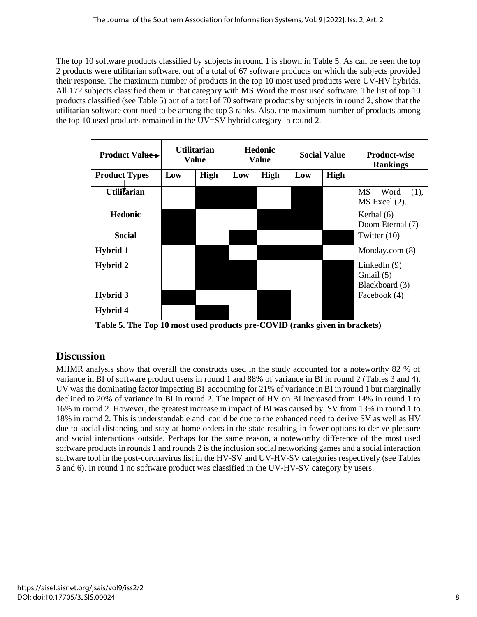The top 10 software products classified by subjects in round 1 is shown in Table 5. As can be seen the top 2 products were utilitarian software. out of a total of 67 software products on which the subjects provided their response. The maximum number of products in the top 10 most used products were UV-HV hybrids. All 172 subjects classified them in that category with MS Word the most used software. The list of top 10 products classified (see Table 5) out of a total of 70 software products by subjects in round 2, show that the utilitarian software continued to be among the top 3 ranks. Also, the maximum number of products among the top 10 used products remained in the UV=SV hybrid category in round 2.

| <b>Product Value→</b> | <b>Utilitarian</b><br><b>Value</b> |      | <b>Hedonic</b><br><b>Value</b> |      | <b>Social Value</b> |      | <b>Product-wise</b><br><b>Rankings</b>          |
|-----------------------|------------------------------------|------|--------------------------------|------|---------------------|------|-------------------------------------------------|
| <b>Product Types</b>  | Low                                | High | Low                            | High | Low                 | High |                                                 |
| <b>Utilitarian</b>    |                                    |      |                                |      |                     |      | <b>MS</b><br>Word<br>(1),<br>MS Excel (2).      |
| <b>Hedonic</b>        |                                    |      |                                |      |                     |      | Kerbal (6)<br>Doom Eternal (7)                  |
| <b>Social</b>         |                                    |      |                                |      |                     |      | Twitter $(10)$                                  |
| Hybrid 1              |                                    |      |                                |      |                     |      | Monday.com $(8)$                                |
| Hybrid 2              |                                    |      |                                |      |                     |      | LinkedIn $(9)$<br>Gmail $(5)$<br>Blackboard (3) |
| <b>Hybrid 3</b>       |                                    |      |                                |      |                     |      | Facebook (4)                                    |
| Hybrid 4              |                                    |      |                                |      |                     |      |                                                 |

**Table 5. The Top 10 most used products pre-COVID (ranks given in brackets)**

# **Discussion**

MHMR analysis show that overall the constructs used in the study accounted for a noteworthy 82 % of variance in BI of software product users in round 1 and 88% of variance in BI in round 2 (Tables 3 and 4). UV was the dominating factor impacting BI accounting for 21% of variance in BI in round 1 but marginally declined to 20% of variance in BI in round 2. The impact of HV on BI increased from 14% in round 1 to 16% in round 2. However, the greatest increase in impact of BI was caused by SV from 13% in round 1 to 18% in round 2. This is understandable and could be due to the enhanced need to derive SV as well as HV due to social distancing and stay-at-home orders in the state resulting in fewer options to derive pleasure and social interactions outside. Perhaps for the same reason, a noteworthy difference of the most used software products in rounds 1 and rounds 2 is the inclusion social networking games and a social interaction software tool in the post-coronavirus list in the HV-SV and UV-HV-SV categories respectively (see Tables 5 and 6). In round 1 no software product was classified in the UV-HV-SV category by users.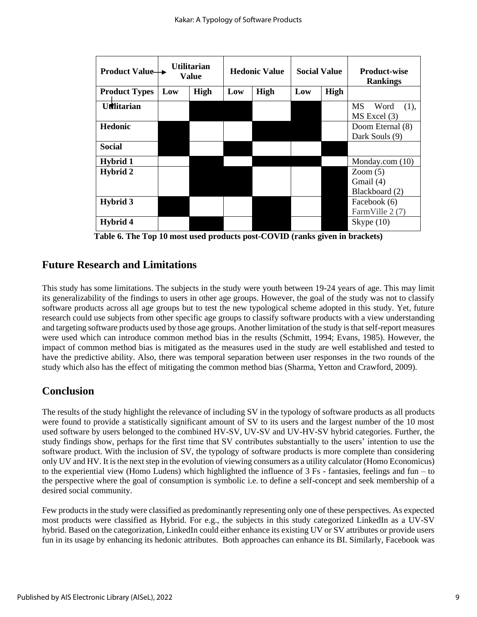| <b>Product Value</b> → | Utilitarian<br><b>Value</b> |      | <b>Hedonic Value</b> |      | <b>Social Value</b> |      | <b>Product-wise</b><br><b>Rankings</b> |  |
|------------------------|-----------------------------|------|----------------------|------|---------------------|------|----------------------------------------|--|
| <b>Product Types</b>   | Low                         | High | Low                  | High | Low                 | High |                                        |  |
| <b>Utilitarian</b>     |                             |      |                      |      |                     |      | MS<br>Word<br>(1),<br>$MS$ Excel $(3)$ |  |
| <b>Hedonic</b>         |                             |      |                      |      |                     |      | Doom Eternal (8)<br>Dark Souls (9)     |  |
| <b>Social</b>          |                             |      |                      |      |                     |      |                                        |  |
| Hybrid 1               |                             |      |                      |      |                     |      | Monday.com $(10)$                      |  |
| Hybrid 2               |                             |      |                      |      |                     |      | Zoom(5)                                |  |
|                        |                             |      |                      |      |                     |      | Gmail $(4)$                            |  |
|                        |                             |      |                      |      |                     |      | Blackboard (2)                         |  |
| Hybrid 3               |                             |      |                      |      |                     |      | Facebook (6)<br>FarmVille 2 (7)        |  |
| Hybrid 4               |                             |      |                      |      |                     |      | Skype $(10)$                           |  |

**Table 6. The Top 10 most used products post-COVID (ranks given in brackets)**

# **Future Research and Limitations**

This study has some limitations. The subjects in the study were youth between 19-24 years of age. This may limit its generalizability of the findings to users in other age groups. However, the goal of the study was not to classify software products across all age groups but to test the new typological scheme adopted in this study. Yet, future research could use subjects from other specific age groups to classify software products with a view understanding and targeting software products used by those age groups. Another limitation of the study is that self-report measures were used which can introduce common method bias in the results (Schmitt, 1994; Evans, 1985). However, the impact of common method bias is mitigated as the measures used in the study are well established and tested to have the predictive ability. Also, there was temporal separation between user responses in the two rounds of the study which also has the effect of mitigating the common method bias (Sharma, Yetton and Crawford, 2009).

# **Conclusion**

The results of the study highlight the relevance of including SV in the typology of software products as all products were found to provide a statistically significant amount of SV to its users and the largest number of the 10 most used software by users belonged to the combined HV-SV, UV-SV and UV-HV-SV hybrid categories. Further, the study findings show, perhaps for the first time that SV contributes substantially to the users' intention to use the software product. With the inclusion of SV, the typology of software products is more complete than considering only UV and HV. It is the next step in the evolution of viewing consumers as a utility calculator (Homo Economicus) to the experiential view (Homo Ludens) which highlighted the influence of  $3 \text{ Fs}$  - fantasies, feelings and fun – to the perspective where the goal of consumption is symbolic i.e. to define a self-concept and seek membership of a desired social community.

Few products in the study were classified as predominantly representing only one of these perspectives. As expected most products were classified as Hybrid. For e.g., the subjects in this study categorized LinkedIn as a UV-SV hybrid. Based on the categorization, LinkedIn could either enhance its existing UV or SV attributes or provide users fun in its usage by enhancing its hedonic attributes. Both approaches can enhance its BI. Similarly, Facebook was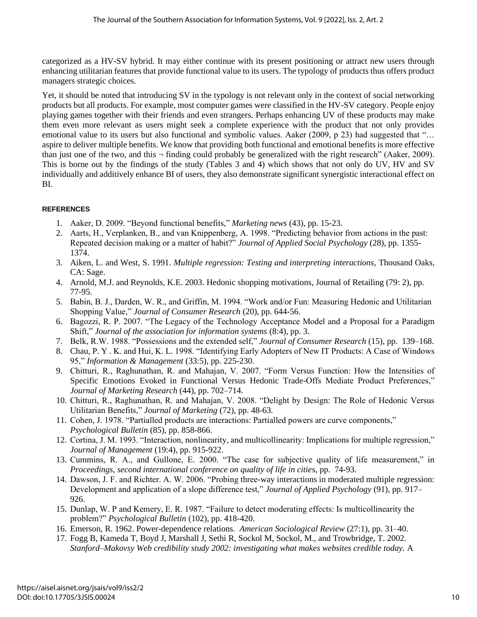categorized as a HV-SV hybrid. It may either continue with its present positioning or attract new users through enhancing utilitarian features that provide functional value to its users. The typology of products thus offers product managers strategic choices.

Yet, it should be noted that introducing SV in the typology is not relevant only in the context of social networking products but all products. For example, most computer games were classified in the HV-SV category. People enjoy playing games together with their friends and even strangers. Perhaps enhancing UV of these products may make them even more relevant as users might seek a complete experience with the product that not only provides emotional value to its users but also functional and symbolic values. Aaker (2009, p 23) had suggested that "... aspire to deliver multiple benefits. We know that providing both functional and emotional benefits is more effective than just one of the two, and this  $\neg$  finding could probably be generalized with the right research" (Aaker, 2009). This is borne out by the findings of the study (Tables 3 and 4) which shows that not only do UV, HV and SV individually and additively enhance BI of users, they also demonstrate significant synergistic interactional effect on BI.

## **REFERENCES**

- 1. Aaker, D. 2009. "Beyond functional benefits," *Marketing news* (43), pp. 15-23.
- 2. Aarts, H., Verplanken, B., and van Knippenberg, A. 1998. "Predicting behavior from actions in the past: Repeated decision making or a matter of habit?" *Journal of Applied Social Psychology* (28), pp. 1355- 1374.
- 3. Aiken, L. and West, S. 1991. *Multiple regression: Testing and interpreting interactions*, Thousand Oaks, CA: Sage.
- 4. Arnold, M.J. and Reynolds, K.E. 2003. Hedonic shopping motivations, Journal of Retailing (79: 2), pp. 77-95.
- 5. Babin, B. J., Darden, W. R., and Griffin, M. 1994. "Work and/or Fun: Measuring Hedonic and Utilitarian Shopping Value," *Journal of Consumer Research* (20), pp. 644-56.
- 6. Bagozzi, R. P. 2007. "The Legacy of the Technology Acceptance Model and a Proposal for a Paradigm Shift," *Journal of the association for information systems* (8:4), pp. 3.
- 7. Belk, R.W. 1988. "Possessions and the extended self," *Journal of Consumer Research* (15), pp. 139–168.
- 8. Chau, P. Y . K. and Hui, K. L. 1998. "Identifying Early Adopters of New IT Products: A Case of Windows 95," *Information & Management* (33:5), pp. 225-230.
- 9. Chitturi, R., Raghunathan, R. and Mahajan, V. 2007. "Form Versus Function: How the Intensities of Specific Emotions Evoked in Functional Versus Hedonic Trade-Offs Mediate Product Preferences," *Journal of Marketing Research* (44), pp. 702–714.
- 10. Chitturi, R., Raghunathan, R. and Mahajan, V. 2008. "Delight by Design: The Role of Hedonic Versus Utilitarian Benefits," *Journal of Marketing* (72), pp. 48-63.
- 11. Cohen, J. 1978. "Partialled products are interactions: Partialled powers are curve components," *Psychological Bulletin* (85), pp. 858-866.
- 12. Cortina, J. M. 1993. "Interaction, nonlinearity, and multicollinearity: Implications for multiple regression," *Journal of Management* (19:4), pp. 915-922.
- 13. Cummins, R. A., and Gullone, E. 2000. "The case for subjective quality of life measurement," in *Proceedings, second international conference on quality of life in citie*s, pp. 74-93.
- 14. Dawson, J. F. and Richter. A. W. 2006. "Probing three-way interactions in moderated multiple regression: Development and application of a slope difference test," *Journal of Applied Psychology* (91), pp. 917– 926.
- 15. Dunlap, W. P and Kemery, E. R. 1987. "Failure to detect moderating effects: Is multicollinearity the problem?" *Psychological Bulletin* (102), pp. 418-420.
- 16. Emerson, R. 1962. Power-dependence relations*. American Sociological Review* (27:1), pp. 31–40.
- 17. Fogg B, Kameda T, Boyd J, Marshall J, Sethi R, Sockol M, Sockol, M., and Trowbridge, T. 2002. *Stanford–Makovsy Web credibility study 2002: investigating what makes websites credible today.* A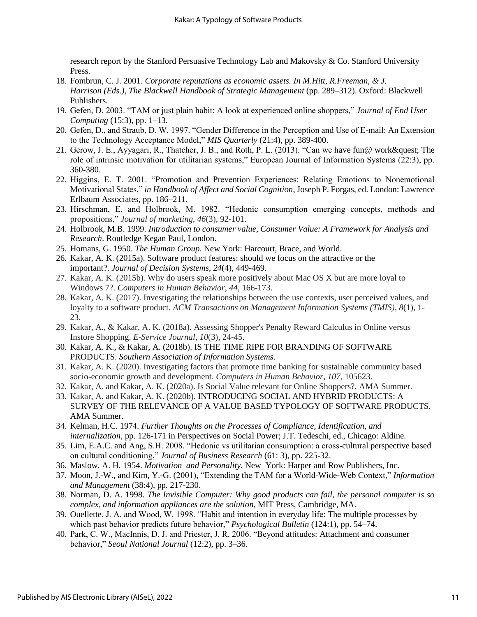research report by the Stanford Persuasive Technology Lab and Makovsky & Co. Stanford University Press.

- 18. Fombrun, C. J. 2001. *Corporate reputations as economic assets. In M.Hitt, R.Freeman, & J. Harrison (Eds.)*, *The Blackwell Handbook of Strategic Management* (pp. 289–312). Oxford: Blackwell Publishers.
- 19. Gefen, D. 2003. "TAM or just plain habit: A look at experienced online shoppers," *Journal of End User Computing* (15:3), pp. 1–13.
- 20. Gefen, D., and Straub, D. W. 1997. "Gender Difference in the Perception and Use of E-mail: An Extension to the Technology Acceptance Model," *MIS Quarterly* (21:4), pp. 389-400.
- 21. Gerow, J. E., Ayyagari, R., Thatcher, J. B., and Roth, P. L. (2013). "Can we have fun@ work? The role of intrinsic motivation for utilitarian systems," European Journal of Information Systems (22:3), pp. 360-380.
- 22. Higgins, E. T. 2001. "Promotion and Prevention Experiences: Relating Emotions to Nonemotional Motivational States," *in Handbook of Affect and Social Cognition*, Joseph P. Forgas, ed. London: Lawrence Erlbaum Associates, pp. 186–211.
- 23. Hirschman, E. and Holbrook, M. 1982. "Hedonic consumption emerging concepts, methods and propositions," *Journal of marketing*, *46*(3), 92-101.
- 24. Holbrook, M.B. 1999. *Introduction to consumer value, Consumer Value: A Framework for Analysis and Research*. Routledge Kegan Paul, London.
- 25. Homans, G. 1950. *The Human Group*. New York: Harcourt, Brace, and World.
- 26. Kakar, A. K. (2015a). Software product features: should we focus on the attractive or the important?. *Journal of Decision Systems*, *24*(4), 449-469.
- 27. Kakar, A. K. (2015b). Why do users speak more positively about Mac OS X but are more loyal to Windows 7?. *Computers in Human Behavior*, *44*, 166-173.
- 28. Kakar, A. K. (2017). Investigating the relationships between the use contexts, user perceived values, and loyalty to a software product. *ACM Transactions on Management Information Systems (TMIS)*, *8*(1), 1- 23.
- 29. Kakar, A., & Kakar, A. K. (2018a). Assessing Shopper's Penalty Reward Calculus in Online versus Instore Shopping. *E-Service Journal*, *10*(3), 24-45.
- 30. Kakar, A. K., & Kakar, A. (2018b). IS THE TIME RIPE FOR BRANDING OF SOFTWARE PRODUCTS. *Southern Association of Information Systems*.
- 31. Kakar, A. K. (2020). Investigating factors that promote time banking for sustainable community based socio-economic growth and development. *Computers in Human Behavior*, *107*, 105623.
- 32. Kakar, A. and Kakar, A. K. (2020a). Is Social Value relevant for Online Shoppers?, AMA Summer.
- 33. Kakar, A. and Kakar, A. K. (2020b). INTRODUCING SOCIAL AND HYBRID PRODUCTS: A SURVEY OF THE RELEVANCE OF A VALUE BASED TYPOLOGY OF SOFTWARE PRODUCTS. AMA Summer.
- 34. Kelman, H.C. 1974. *Further Thoughts on the Processes of Compliance, Identification, and internalization,* pp. 126-171 in Perspectives on Social Power; J.T. Tedeschi, ed., Chicago: Aldine.
- 35. Lim, E.A.C. and Ang, S.H. 2008. "Hedonic vs utilitarian consumption: a cross-cultural perspective based on cultural conditioning," *Journal of Business Research* (61: 3), pp. 225-32.
- 36. Maslow, A. H. 1954. *Motivation and Personality*, New York: Harper and Row Publishers, Inc.
- 37. Moon, J.-W., and Kim, Y.-G. (2001), "Extending the TAM for a World-Wide-Web Context," *Information and Management* (38:4), pp. 217-230.
- 38. Norman, D. A. 1998. *The Invisible Computer: Why good products can fail, the personal computer is so complex, and information appliances are the solution*, MIT Press, Cambridge, MA.
- 39. Ouellette, J. A. and Wood, W. 1998. "Habit and intention in everyday life: The multiple processes by which past behavior predicts future behavior," *Psychological Bulletin* (124:1), pp. 54–74.
- 40. Park, C. W., MacInnis, D. J. and Priester, J. R. 2006. "Beyond attitudes: Attachment and consumer behavior," *Seoul National Journal* (12:2), pp. 3–36.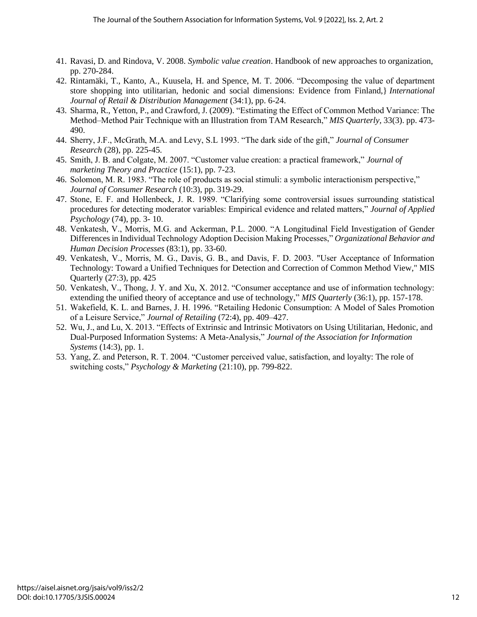- 41. Ravasi, D. and Rindova, V. 2008. *Symbolic value creation*. Handbook of new approaches to organization, pp. 270-284.
- 42. Rintamäki, T., Kanto, A., Kuusela, H. and Spence, M. T. 2006. "Decomposing the value of department store shopping into utilitarian, hedonic and social dimensions: Evidence from Finland,} *International Journal of Retail & Distribution Management* (34:1), pp. 6-24.
- 43. Sharma, R., Yetton, P., and Crawford, J. (2009). "Estimating the Effect of Common Method Variance: The Method–Method Pair Technique with an Illustration from TAM Research," *MIS Quarterly,* 33(3). pp. 473- 490.
- 44. Sherry, J.F., McGrath, M.A. and Levy, S.L 1993. "The dark side of the gift," *Journal of Consumer Research* (28), pp. 225-45.
- 45. Smith, J. B. and Colgate, M. 2007. "Customer value creation: a practical framework," *Journal of marketing Theory and Practice* (15:1), pp. 7-23.
- 46. Solomon, M. R. 1983. "The role of products as social stimuli: a symbolic interactionism perspective," *Journal of Consumer Research* (10:3), pp. 319-29.
- 47. Stone, E. F. and Hollenbeck, J. R. 1989. "Clarifying some controversial issues surrounding statistical procedures for detecting moderator variables: Empirical evidence and related matters," *Journal of Applied Psychology* (74), pp. 3- 10.
- 48. Venkatesh, V., Morris, M.G. and Ackerman, P.L. 2000. "A Longitudinal Field Investigation of Gender Differences in Individual Technology Adoption Decision Making Processes," *Organizational Behavior and Human Decision Processes* (83:1), pp. 33-60.
- 49. Venkatesh, V., Morris, M. G., Davis, G. В., and Davis, F. D. 2003. "User Acceptance of Information Technology: Toward a Unified Techniques for Detection and Correction of Common Method View," MIS Quarterly (27:3), pp. 425
- 50. Venkatesh, V., Thong, J. Y. and Xu, X. 2012. "Consumer acceptance and use of information technology: extending the unified theory of acceptance and use of technology," *MIS Quarterly* (36:1), pp. 157-178.
- 51. Wakefield, K. L. and Barnes, J. H. 1996. "Retailing Hedonic Consumption: A Model of Sales Promotion of a Leisure Service," *Journal of Retailing* (72:4), pp. 409–427.
- 52. Wu, J., and Lu, X. 2013. "Effects of Extrinsic and Intrinsic Motivators on Using Utilitarian, Hedonic, and Dual-Purposed Information Systems: A Meta-Analysis," *Journal of the Association for Information Systems* (14:3), pp. 1.
- 53. Yang, Z. and Peterson, R. T. 2004. "Customer perceived value, satisfaction, and loyalty: The role of switching costs," *Psychology & Marketing* (21:10), pp. 799-822.